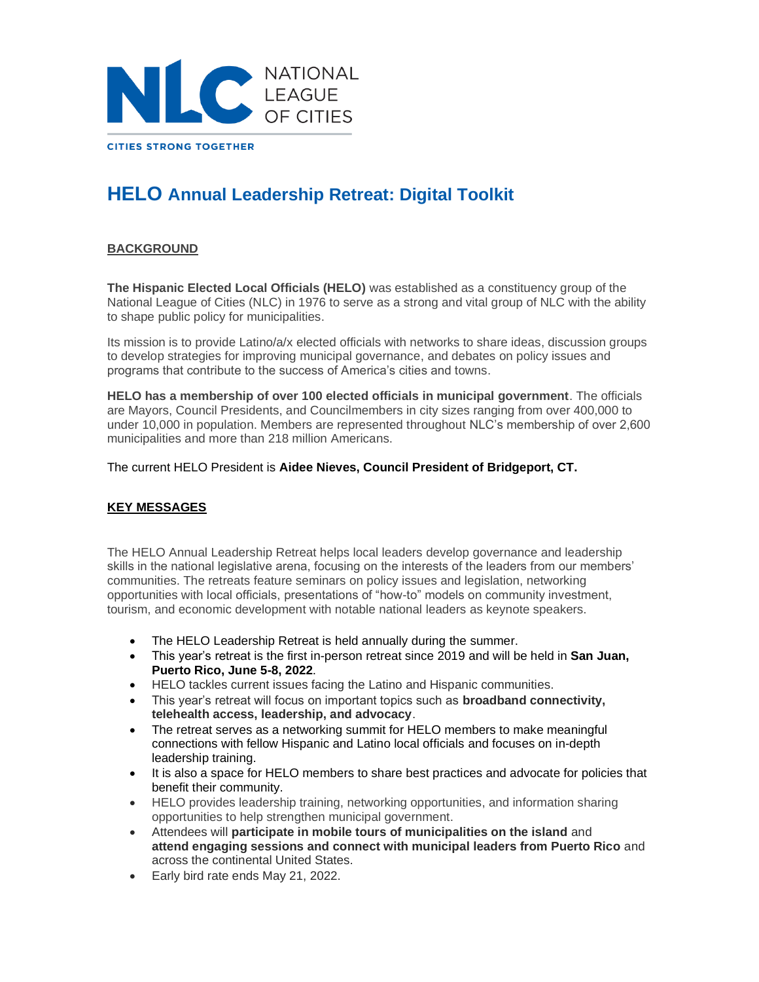

# **HELO Annual Leadership Retreat: Digital Toolkit**

# **BACKGROUND**

**The Hispanic Elected Local Officials (HELO)** was established as a constituency group of the National League of Cities (NLC) in 1976 to serve as a strong and vital group of NLC with the ability to shape public policy for municipalities.

Its mission is to provide Latino/a/x elected officials with networks to share ideas, discussion groups to develop strategies for improving municipal governance, and debates on policy issues and programs that contribute to the success of America's cities and towns.

**HELO has a membership of over 100 elected officials in municipal government**. The officials are Mayors, Council Presidents, and Councilmembers in city sizes ranging from over 400,000 to under 10,000 in population. Members are represented throughout NLC's membership of over 2,600 municipalities and more than 218 million Americans.

The current HELO President is **Aidee Nieves, Council President of Bridgeport, CT.**

# **KEY MESSAGES**

The HELO Annual Leadership Retreat helps local leaders develop governance and leadership skills in the national legislative arena, focusing on the interests of the leaders from our members' communities. The retreats feature seminars on policy issues and legislation, networking opportunities with local officials, presentations of "how-to" models on community investment, tourism, and economic development with notable national leaders as keynote speakers.

- The HELO Leadership Retreat is held annually during the summer.
- This year's retreat is the first in-person retreat since 2019 and will be held in **San Juan, Puerto Rico, June 5-8, 2022**.
- HELO tackles current issues facing the Latino and Hispanic communities.
- This year's retreat will focus on important topics such as **broadband connectivity, telehealth access, leadership, and advocacy**.
- The retreat serves as a networking summit for HELO members to make meaningful connections with fellow Hispanic and Latino local officials and focuses on in-depth leadership training.
- It is also a space for HELO members to share best practices and advocate for policies that benefit their community.
- HELO provides leadership training, networking opportunities, and information sharing opportunities to help strengthen municipal government.
- Attendees will **participate in mobile tours of municipalities on the island** and **attend engaging sessions and connect with municipal leaders from Puerto Rico** and across the continental United States.
- Early bird rate ends May 21, 2022.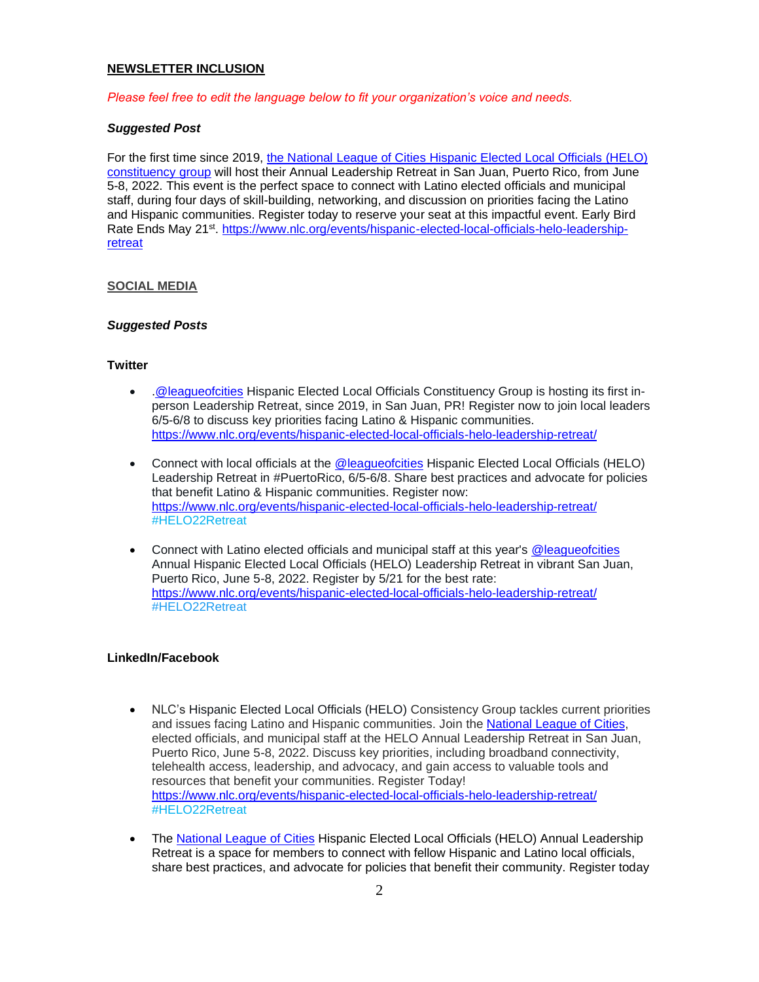#### **NEWSLETTER INCLUSION**

*Please feel free to edit the language below to fit your organization's voice and needs.*

#### *Suggested Post*

For the first time since 2019, [the National League of Cities Hispanic Elected Local Officials \(HELO\)](https://www.nlc.org/initiative/hispanic-elected-local-officials-helo/)  [constituency group](https://www.nlc.org/initiative/hispanic-elected-local-officials-helo/) will host their Annual Leadership Retreat in San Juan, Puerto Rico, from June 5-8, 2022. This event is the perfect space to connect with Latino elected officials and municipal staff, during four days of skill-building, networking, and discussion on priorities facing the Latino and Hispanic communities. Register today to reserve your seat at this impactful event. Early Bird Rate Ends May 21<sup>st</sup>. [https://www.nlc.org/events/hispanic-elected-local-officials-helo-leadership](https://www.nlc.org/events/hispanic-elected-local-officials-helo-leadership-retreat)[retreat](https://www.nlc.org/events/hispanic-elected-local-officials-helo-leadership-retreat)

#### **SOCIAL MEDIA**

#### *Suggested Posts*

#### **Twitter**

- [.@leagueofcities](https://twitter.com/leagueofcities/status/1511013503972352004) Hispanic Elected Local Officials Constituency Group is hosting its first inperson Leadership Retreat, since 2019, in San Juan, PR! Register now to join local leaders 6/5-6/8 to discuss key priorities facing Latino & Hispanic communities. <https://www.nlc.org/events/hispanic-elected-local-officials-helo-leadership-retreat/>
- Connect with local officials at the **@leagueofcities** Hispanic Elected Local Officials (HELO) Leadership Retreat in #PuertoRico, 6/5-6/8. Share best practices and advocate for policies that benefit Latino & Hispanic communities. Register now: <https://www.nlc.org/events/hispanic-elected-local-officials-helo-leadership-retreat/> #HELO22Retreat
- Connect with Latino elected officials and municipal staff at this year's [@leagueofcities](https://twitter.com/leagueofcities/status/1511013503972352004) Annual Hispanic Elected Local Officials (HELO) Leadership Retreat in vibrant San Juan, Puerto Rico, June 5-8, 2022. Register by 5/21 for the best rate: <https://www.nlc.org/events/hispanic-elected-local-officials-helo-leadership-retreat/> #HELO22Retreat

### **LinkedIn/Facebook**

- NLC's Hispanic Elected Local Officials (HELO) Consistency Group tackles current priorities and issues facing Latino and Hispanic communities. Join the [National League of Cities,](https://www.linkedin.com/company/national-league-of-cities) elected officials, and municipal staff at the HELO Annual Leadership Retreat in San Juan, Puerto Rico, June 5-8, 2022. Discuss key priorities, including broadband connectivity, telehealth access, leadership, and advocacy, and gain access to valuable tools and resources that benefit your communities. Register Today! <https://www.nlc.org/events/hispanic-elected-local-officials-helo-leadership-retreat/> #HELO22Retreat
- The **National League of Cities** Hispanic Elected Local Officials (HELO) Annual Leadership Retreat is a space for members to connect with fellow Hispanic and Latino local officials, share best practices, and advocate for policies that benefit their community. Register today